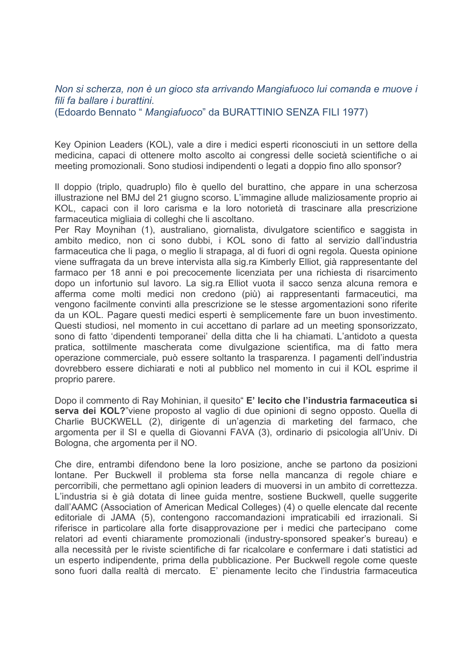## Non si scherza, non è un gioco sta arrivando Mangiafuoco lui comanda e muove i fili fa ballare i burattini. (Edoardo Bennato " Mangiafuoco" da BURATTINIO SENZA FILI 1977)

Key Opinion Leaders (KOL), vale a dire i medici esperti riconosciuti in un settore della medicina, capaci di ottenere molto ascolto ai congressi delle società scientifiche o ai meeting promozionali. Sono studiosi indipendenti o legati a doppio fino allo sponsor?

Il doppio (triplo, quadruplo) filo è quello del burattino, che appare in una scherzosa illustrazione nel BMJ del 21 giugno scorso. L'immagine allude maliziosamente proprio ai KOL, capaci con il loro carisma e la loro notorietà di trascinare alla prescrizione farmaceutica migliaia di colleghi che li ascoltano.

Per Ray Moynihan (1), australiano, giornalista, divulgatore scientifico e saggista in ambito medico, non ci sono dubbi, i KOL sono di fatto al servizio dall'industria farmaceutica che li paga, o meglio li strapaga, al di fuori di ogni regola. Questa opinione viene suffragata da un breve intervista alla sig.ra Kimberly Elliot, già rappresentante del farmaco per 18 anni e poi precocemente licenziata per una richiesta di risarcimento dopo un infortunio sul lavoro. La sig.ra Elliot vuota il sacco senza alcuna remora e afferma come molti medici non credono (più) ai rappresentanti farmaceutici, ma vengono facilmente convinti alla prescrizione se le stesse argomentazioni sono riferite da un KOL. Pagare questi medici esperti è semplicemente fare un buon investimento. Questi studiosi, nel momento in cui accettano di parlare ad un meeting sponsorizzato, sono di fatto 'dipendenti temporanei' della ditta che li ha chiamati. L'antidoto a questa pratica, sottilmente mascherata come divulgazione scientifica, ma di fatto mera operazione commerciale, può essere soltanto la trasparenza. I pagamenti dell'industria dovrebbero essere dichiarati e noti al pubblico nel momento in cui il KOL esprime il proprio parere.

Dopo il commento di Ray Mohinian, il quesito" E' lecito che l'industria farmaceutica si serva dei KOL?"viene proposto al vaglio di due opinioni di segno opposto. Quella di Charlie BUCKWELL (2), dirigente di un'agenzia di marketing del farmaco, che argomenta per il SI e quella di Giovanni FAVA (3), ordinario di psicologia all'Univ. Di Bologna, che argomenta per il NO.

Che dire, entrambi difendono bene la loro posizione, anche se partono da posizioni lontane. Per Buckwell il problema sta forse nella mancanza di regole chiare e percorribili, che permettano agli opinion leaders di muoversi in un ambito di correttezza. L'industria si è già dotata di linee guida mentre, sostiene Buckwell, quelle suggerite dall'AAMC (Association of American Medical Colleges) (4) o quelle elencate dal recente editoriale di JAMA (5), contengono raccomandazioni impraticabili ed irrazionali. Si riferisce in particolare alla forte disapprovazione per i medici che partecipano come relatori ad eventi chiaramente promozionali (industry-sponsored speaker's bureau) e alla necessità per le riviste scientifiche di far ricalcolare e confermare i dati statistici ad un esperto indipendente, prima della pubblicazione. Per Buckwell regole come queste sono fuori dalla realtà di mercato. E' pienamente lecito che l'industria farmaceutica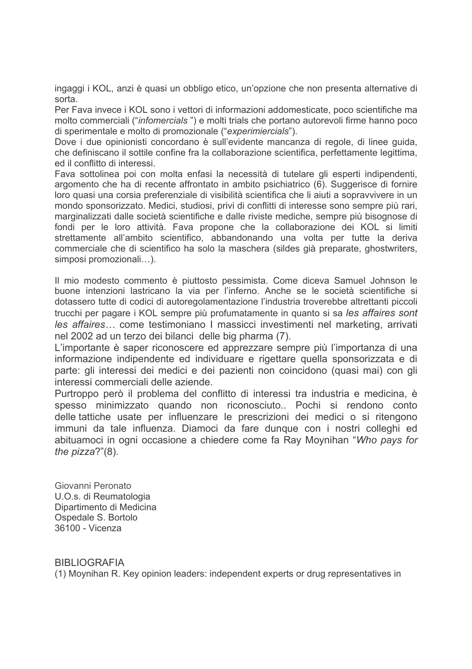ingaggi i KOL, anzi è quasi un obbligo etico, un'opzione che non presenta alternative di sorta.

Per Fava invece i KOL sono i vettori di informazioni addomesticate, poco scientifiche ma molto commerciali ("*infomercials*") e molti trials che portano autorevoli firme hanno poco di sperimentale e molto di promozionale ("experimiercials").

Dove i due opinionisti concordano è sull'evidente mancanza di regole, di linee guida, che definiscano il sottile confine fra la collaborazione scientifica, perfettamente legittima, ed il conflitto di interessi

Fava sottolinea poi con molta enfasi la necessità di tutelare gli esperti indipendenti. argomento che ha di recente affrontato in ambito psichiatrico (6). Suggerisce di fornire loro quasi una corsia preferenziale di visibilità scientifica che li aiuti a sopravvivere in un mondo sponsorizzato. Medici, studiosi, privi di conflitti di interesse sono sempre più rari, marginalizzati dalle società scientifiche e dalle riviste mediche, sempre più bisognose di fondi per le loro attività. Fava propone che la collaborazione dei KOL si limiti strettamente all'ambito scientifico, abbandonando una volta per tutte la deriva commerciale che di scientifico ha solo la maschera (sildes già preparate, ghostwriters, simposi promozionali...).

Il mio modesto commento è piuttosto pessimista. Come diceva Samuel Johnson le buone intenzioni lastricano la via per l'inferno. Anche se le società scientifiche si dotassero tutte di codici di autoregolamentazione l'industria troverebbe altrettanti piccoli trucchi per pagare i KOL sempre più profumatamente in quanto si sa les affaires sont les affaires... come testimoniano I massicci investimenti nel marketing, arrivati nel 2002 ad un terzo dei bilanci delle big pharma (7).

L'importante è saper riconoscere ed apprezzare sempre più l'importanza di una informazione indipendente ed individuare e rigettare quella sponsorizzata e di parte: gli interessi dei medici e dei pazienti non coincidono (quasi mai) con gli interessi commerciali delle aziende.

Purtroppo però il problema del conflitto di interessi tra industria e medicina, è spesso minimizzato quando non riconosciuto.. Pochi si rendono conto delle tattiche usate per influenzare le prescrizioni dei medici o si ritengono immuni da tale influenza. Diamoci da fare dunque con i nostri colleghi ed abituamoci in ogni occasione a chiedere come fa Ray Movnihan "Who pays for the  $pizza?"(8)$ .

Giovanni Peronato U.O.s. di Reumatologia Dipartimento di Medicina Ospedale S. Bortolo 36100 - Vicenza

**BIBLIOGRAFIA** 

(1) Moynihan R. Key opinion leaders: independent experts or drug representatives in